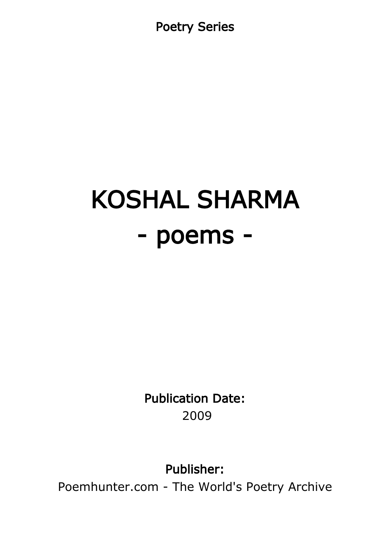Poetry Series

# KOSHAL SHARMA - poems -

Publication Date: 2009

Publisher:

Poemhunter.com - The World's Poetry Archive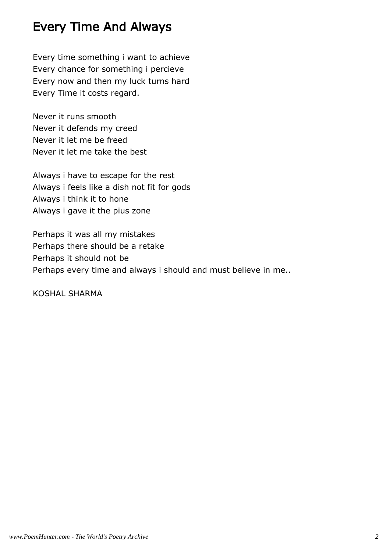#### Every Time And Always

Every time something i want to achieve Every chance for something i percieve Every now and then my luck turns hard Every Time it costs regard.

Never it runs smooth Never it defends my creed Never it let me be freed Never it let me take the best

Always i have to escape for the rest Always i feels like a dish not fit for gods Always i think it to hone Always i gave it the pius zone

Perhaps it was all my mistakes Perhaps there should be a retake Perhaps it should not be Perhaps every time and always i should and must believe in me..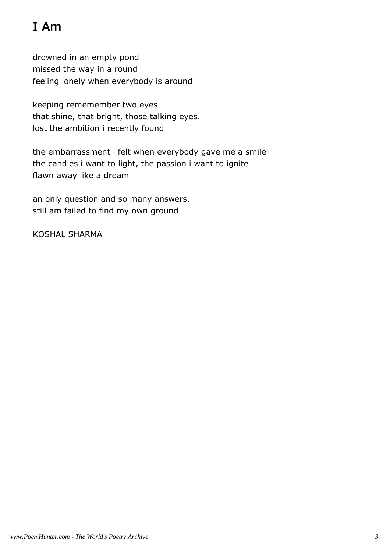## I Am

drowned in an empty pond missed the way in a round feeling lonely when everybody is around

keeping rememember two eyes that shine, that bright, those talking eyes. lost the ambition i recently found

the embarrassment i felt when everybody gave me a smile the candles i want to light, the passion i want to ignite flawn away like a dream

an only question and so many answers. still am failed to find my own ground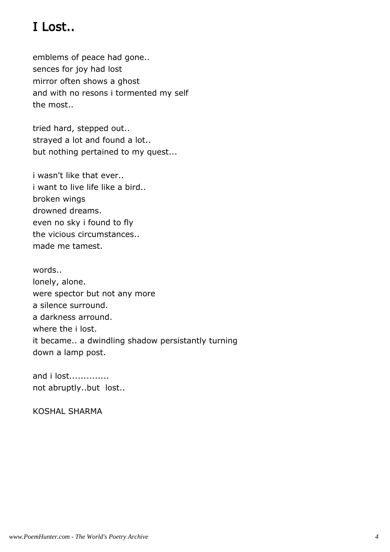### I Lost..

emblems of peace had gone.. sences for joy had lost mirror often shows a ghost and with no resons i tormented my self the most..

tried hard, stepped out.. strayed a lot and found a lot.. but nothing pertained to my quest...

i wasn't like that ever.. i want to live life like a bird.. broken wings drowned dreams. even no sky i found to fly the vicious circumstances.. made me tamest.

words.. lonely, alone. were spector but not any more a silence surround. a darkness arround. where the i lost. it became.. a dwindling shadow persistantly turning down a lamp post.

and i lost.............. not abruptly..but lost..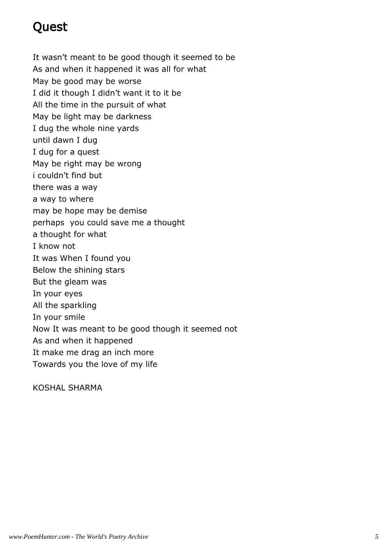#### Quest

It wasn't meant to be good though it seemed to be As and when it happened it was all for what May be good may be worse I did it though I didn't want it to it be All the time in the pursuit of what May be light may be darkness I dug the whole nine yards until dawn I dug I dug for a quest May be right may be wrong i couldn't find but there was a way a way to where may be hope may be demise perhaps you could save me a thought a thought for what I know not It was When I found you Below the shining stars But the gleam was In your eyes All the sparkling In your smile Now It was meant to be good though it seemed not As and when it happened It make me drag an inch more Towards you the love of my life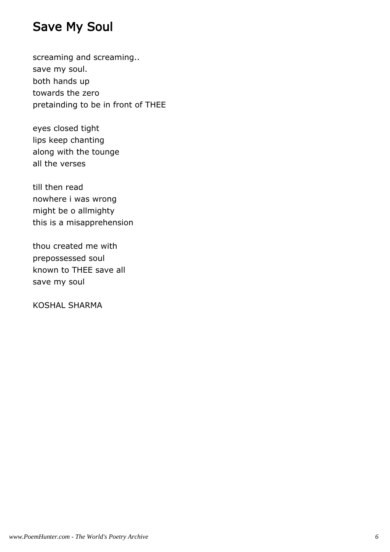#### Save My Soul

screaming and screaming.. save my soul. both hands up towards the zero pretainding to be in front of THEE

eyes closed tight lips keep chanting along with the tounge all the verses

till then read nowhere i was wrong might be o allmighty this is a misapprehension

thou created me with prepossessed soul known to THEE save all save my soul